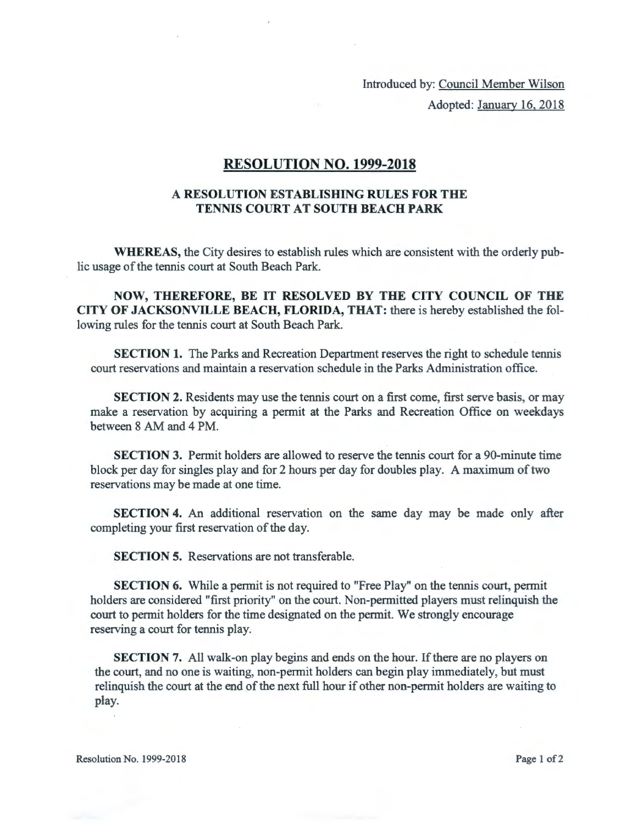Introduced by: Council Member Wilson Adopted: January 16, 2018

## **RESOLUTION NO. 1999-2018**

## **A RESOLUTION ESTABLISHING RULES FOR THE TENNIS COURT AT SOUTH BEACH PARK**

**WHEREAS,** the City desires to establish rules which are consistent with the orderly public usage of the tennis court at South Beach Park.

**NOW, THEREFORE, BE IT RESOLVED BY THE CITY COUNCIL OF THE CITY OF JACKSONVILLE BEACH, FLORIDA, THAT:** there is hereby established the following rules for the tennis court at South Beach Park.

**SECTION 1.** The Parks and Recreation Department reserves the right to schedule tennis court reservations and maintain a reservation schedule in the Parks Administration office.

**SECTION 2.** Residents may use the tennis court on a first come, first serve basis, or may make a reservation by acquiring a permit at the Parks and Recreation Office on weekdays between 8 AM and 4 PM.

**SECTION** 3. Permit holders are allowed to reserve the tennis court for a 90-minute time block per day for singles play and for 2 hours per day for doubles play. A maximum of two reservations may be made at one time.

**SECTION 4.** An additional reservation on the same day may be made only after completing your first reservation of the day.

**SECTION 5.** Reservations are not transferable.

**SECTION 6.** While a permit is not required to "Free Play" on the tennis court, permit holders are considered "first priority" on the court. Non-permitted players must relinquish the court to permit holders for the time designated on the permit. We strongly encourage reserving a court for tennis play.

**SECTION 7.** All walk-on play begins and ends on the hour. If there are no players on the court, and no one is waiting, non-permit holders can begin play immediately, but must relinquish the court at the end of the next full hour if other non-permit holders are waiting to play.